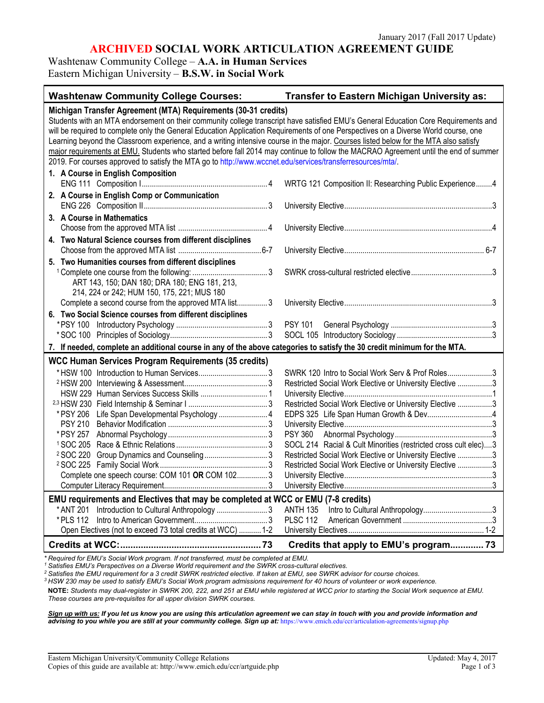## **ARCHIVED SOCIAL WORK ARTICULATION AGREEMENT GUIDE**

Washtenaw Community College – **A.A. in Human Services** Eastern Michigan University – **B.S.W. in Social Work** 

| <b>Washtenaw Community College Courses:</b>                                                                                                                                                                                                                                                                                                                                                                                                                                                                                                                                                                                                                                                                                                | Transfer to Eastern Michigan University as:                                                                                                                                                                                                                                                                                                                                            |
|--------------------------------------------------------------------------------------------------------------------------------------------------------------------------------------------------------------------------------------------------------------------------------------------------------------------------------------------------------------------------------------------------------------------------------------------------------------------------------------------------------------------------------------------------------------------------------------------------------------------------------------------------------------------------------------------------------------------------------------------|----------------------------------------------------------------------------------------------------------------------------------------------------------------------------------------------------------------------------------------------------------------------------------------------------------------------------------------------------------------------------------------|
| Michigan Transfer Agreement (MTA) Requirements (30-31 credits)<br>Students with an MTA endorsement on their community college transcript have satisfied EMU's General Education Core Requirements and<br>will be required to complete only the General Education Application Requirements of one Perspectives on a Diverse World course, one<br>Learning beyond the Classroom experience, and a writing intensive course in the major. Courses listed below for the MTA also satisfy<br>major requirements at EMU. Students who started before fall 2014 may continue to follow the MACRAO Agreement until the end of summer<br>2019. For courses approved to satisfy the MTA go to http://www.wccnet.edu/services/transferresources/mta/. |                                                                                                                                                                                                                                                                                                                                                                                        |
| 1. A Course in English Composition                                                                                                                                                                                                                                                                                                                                                                                                                                                                                                                                                                                                                                                                                                         | WRTG 121 Composition II: Researching Public Experience4                                                                                                                                                                                                                                                                                                                                |
| 2. A Course in English Comp or Communication                                                                                                                                                                                                                                                                                                                                                                                                                                                                                                                                                                                                                                                                                               |                                                                                                                                                                                                                                                                                                                                                                                        |
| 3. A Course in Mathematics                                                                                                                                                                                                                                                                                                                                                                                                                                                                                                                                                                                                                                                                                                                 |                                                                                                                                                                                                                                                                                                                                                                                        |
| 4. Two Natural Science courses from different disciplines                                                                                                                                                                                                                                                                                                                                                                                                                                                                                                                                                                                                                                                                                  |                                                                                                                                                                                                                                                                                                                                                                                        |
|                                                                                                                                                                                                                                                                                                                                                                                                                                                                                                                                                                                                                                                                                                                                            |                                                                                                                                                                                                                                                                                                                                                                                        |
| 5. Two Humanities courses from different disciplines<br>ART 143, 150; DAN 180; DRA 180; ENG 181, 213,<br>214, 224 or 242; HUM 150, 175, 221; MUS 180                                                                                                                                                                                                                                                                                                                                                                                                                                                                                                                                                                                       |                                                                                                                                                                                                                                                                                                                                                                                        |
| Complete a second course from the approved MTA list3                                                                                                                                                                                                                                                                                                                                                                                                                                                                                                                                                                                                                                                                                       |                                                                                                                                                                                                                                                                                                                                                                                        |
| 6. Two Social Science courses from different disciplines<br>7. If needed, complete an additional course in any of the above categories to satisfy the 30 credit minimum for the MTA.                                                                                                                                                                                                                                                                                                                                                                                                                                                                                                                                                       |                                                                                                                                                                                                                                                                                                                                                                                        |
| <b>WCC Human Services Program Requirements (35 credits)</b>                                                                                                                                                                                                                                                                                                                                                                                                                                                                                                                                                                                                                                                                                |                                                                                                                                                                                                                                                                                                                                                                                        |
| Life Span Developmental Psychology  4<br>* PSY 206<br><b>PSY 210</b><br>* PSY 257<br><sup>2</sup> SOC 220<br>Complete one speech course: COM 101 OR COM 1023<br>EMU requirements and Electives that may be completed at WCC or EMU (7-8 credits)<br>Introduction to Cultural Anthropology  3<br>* ANT 201                                                                                                                                                                                                                                                                                                                                                                                                                                  | SWRK 120 Intro to Social Work Serv & Prof Roles3<br>Restricted Social Work Elective or University Elective 3<br>Restricted Social Work Elective or University Elective 3<br>SOCL 214 Racial & Cult Minorities (restricted cross cult elec)3<br>Restricted Social Work Elective or University Elective 3<br>Restricted Social Work Elective or University Elective 3<br><b>ANTH 135</b> |
| * PLS 112                                                                                                                                                                                                                                                                                                                                                                                                                                                                                                                                                                                                                                                                                                                                  | <b>PLSC 112</b>                                                                                                                                                                                                                                                                                                                                                                        |
| Open Electives (not to exceed 73 total credits at WCC)  1-2                                                                                                                                                                                                                                                                                                                                                                                                                                                                                                                                                                                                                                                                                | Credits that apply to EMU's program 73                                                                                                                                                                                                                                                                                                                                                 |

*\* Required for EMU's Social Work program. If not transferred, must be completed at EMU.*

*<sup>1</sup> Satisfies EMU's Perspectives on a Diverse World requirement and the SWRK cross-cultural electives.*

*<sup>2</sup> Satisfies the EMU requirement for a 3 credit SWRK restricted elective. If taken at EMU, see SWRK advisor for course choices.*

*<sup>3</sup> HSW 230 may be used to satisfy EMU's Social Work program admissions requirement for 40 hours of volunteer or work experience.*

**NOTE:** *Students may dual-register in SWRK 200, 222, and 251 at EMU while registered at WCC prior to starting the Social Work sequence at EMU. These courses are pre-requisites for all upper division SWRK courses.* 

*Sign up with us: If you let us know you are using this articulation agreement we can stay in touch with you and provide information and*  advising to you while you are still at your community college. Sign up at: <https://www.emich.edu/ccr/articulation-agreements/signup.php>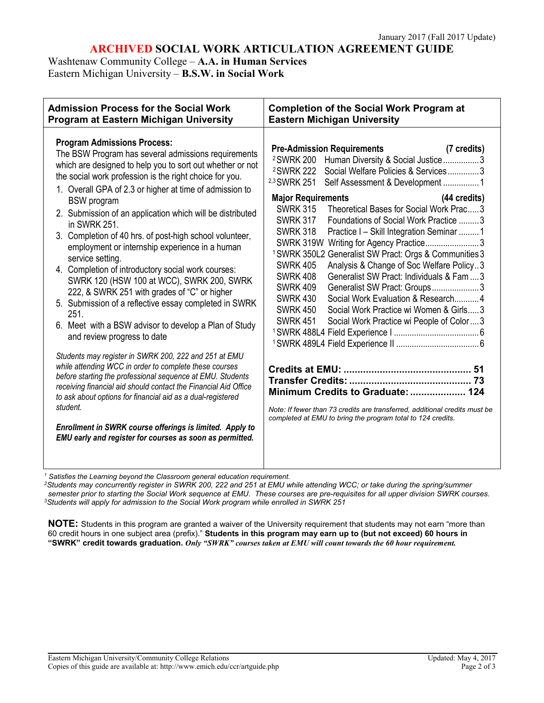# **ARCHIVED SOCIAL WORK ARTICULATION AGREEMENT GUIDE**

Washtenaw Community College – **A.A. in Human Services** Eastern Michigan University – **B.S.W. in Social Work** 

| <b>Admission Process for the Social Work</b>                                                                                                                                                                                                                                                                                                                                                                                                                                                                                                                                                                                                                                                                                                                                                                                                                                                                                                                                                                                                                                                                                                                                                                                                                                        | <b>Completion of the Social Work Program at</b>                                                                                                                                                                                                                                                                                                                                                                                                                                                                                                                                                                                                                                                                                                                                                                                                                                                                                                                                                                                                                                                                                                              |
|-------------------------------------------------------------------------------------------------------------------------------------------------------------------------------------------------------------------------------------------------------------------------------------------------------------------------------------------------------------------------------------------------------------------------------------------------------------------------------------------------------------------------------------------------------------------------------------------------------------------------------------------------------------------------------------------------------------------------------------------------------------------------------------------------------------------------------------------------------------------------------------------------------------------------------------------------------------------------------------------------------------------------------------------------------------------------------------------------------------------------------------------------------------------------------------------------------------------------------------------------------------------------------------|--------------------------------------------------------------------------------------------------------------------------------------------------------------------------------------------------------------------------------------------------------------------------------------------------------------------------------------------------------------------------------------------------------------------------------------------------------------------------------------------------------------------------------------------------------------------------------------------------------------------------------------------------------------------------------------------------------------------------------------------------------------------------------------------------------------------------------------------------------------------------------------------------------------------------------------------------------------------------------------------------------------------------------------------------------------------------------------------------------------------------------------------------------------|
| Program at Eastern Michigan University                                                                                                                                                                                                                                                                                                                                                                                                                                                                                                                                                                                                                                                                                                                                                                                                                                                                                                                                                                                                                                                                                                                                                                                                                                              | <b>Eastern Michigan University</b>                                                                                                                                                                                                                                                                                                                                                                                                                                                                                                                                                                                                                                                                                                                                                                                                                                                                                                                                                                                                                                                                                                                           |
| <b>Program Admissions Process:</b><br>The BSW Program has several admissions requirements<br>which are designed to help you to sort out whether or not<br>the social work profession is the right choice for you.<br>1. Overall GPA of 2.3 or higher at time of admission to<br><b>BSW</b> program<br>2. Submission of an application which will be distributed<br>in SWRK 251.<br>3. Completion of 40 hrs. of post-high school volunteer,<br>employment or internship experience in a human<br>service setting.<br>4. Completion of introductory social work courses:<br>SWRK 120 (HSW 100 at WCC), SWRK 200, SWRK<br>222, & SWRK 251 with grades of "C" or higher<br>5. Submission of a reflective essay completed in SWRK<br>251.<br>6. Meet with a BSW advisor to develop a Plan of Study<br>and review progress to date<br>Students may register in SWRK 200, 222 and 251 at EMU<br>while attending WCC in order to complete these courses<br>before starting the professional sequence at EMU. Students<br>receiving financial aid should contact the Financial Aid Office<br>to ask about options for financial aid as a dual-registered<br>student.<br>Enrollment in SWRK course offerings is limited. Apply to<br>EMU early and register for courses as soon as permitted. | <b>Pre-Admission Requirements</b><br>(7 credits)<br><sup>2</sup> SWRK 200<br>Human Diversity & Social Justice3<br><sup>2</sup> SWRK 222<br>Social Welfare Policies & Services3<br><sup>2,3</sup> SWRK 251<br>Self Assessment & Development 1<br><b>Major Requirements</b><br>(44 credits)<br>Theoretical Bases for Social Work Prac 3<br><b>SWRK 315</b><br><b>SWRK 317</b><br>Foundations of Social Work Practice 3<br><b>SWRK 318</b><br>Practice I – Skill Integration Seminar 1<br>SWRK 319W Writing for Agency Practice3<br><sup>1</sup> SWRK 350L2 Generalist SW Pract: Orgs & Communities 3<br><b>SWRK 405</b><br>Analysis & Change of Soc Welfare Policy3<br><b>SWRK 408</b><br>Generalist SW Pract: Individuals & Fam  3<br><b>SWRK 409</b><br>Generalist SW Pract: Groups3<br>Social Work Evaluation & Research 4<br><b>SWRK 430</b><br><b>SWRK 450</b><br>Social Work Practice wi Women & Girls3<br><b>SWRK 451</b><br>Social Work Practice wi People of Color3<br>Minimum Credits to Graduate:  124<br>Note: If fewer than 73 credits are transferred, additional credits must be<br>completed at EMU to bring the program total to 124 credits. |

*<sup>1</sup> Satisfies the Learning beyond the Classroom general education requirement.*

*2Students may concurrently register in SWRK 200, 222 and 251 at EMU while attending WCC; or take during the spring/summer semester prior to starting the Social Work sequence at EMU. These courses are pre-requisites for all upper division SWRK courses. 3Students will apply for admission to the Social Work program while enrolled in SWRK 251*

**NOTE:** Students in this program are granted a waiver of the University requirement that students may not earn "more than 60 credit hours in one subject area (prefix)." **Students in this program may earn up to (but not exceed) 60 hours in** "SWRK" credit towards graduation. Only "SWRK" courses taken at EMU will count towards the 60 hour requirement.